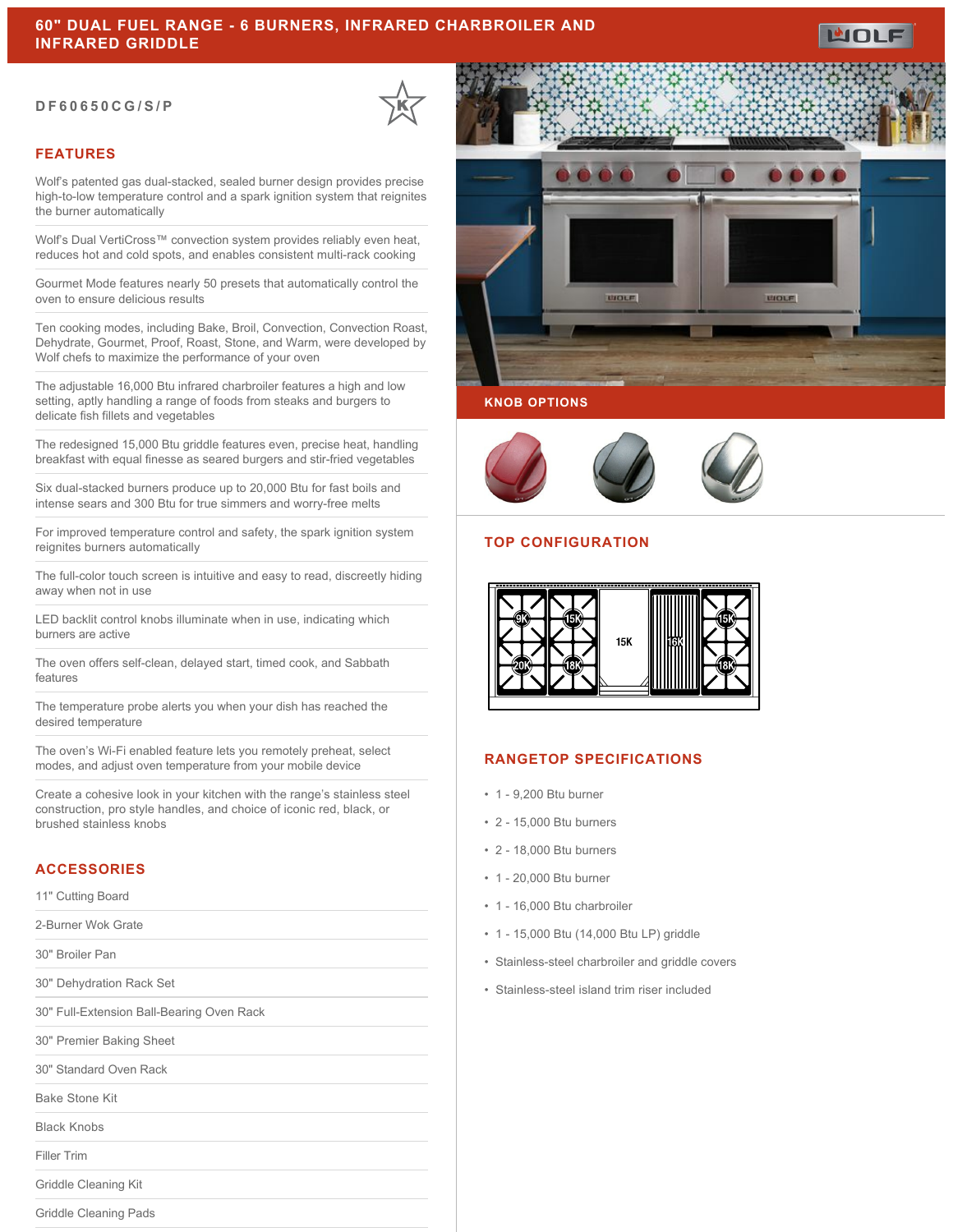#### **DF60650CG/S/P**



## **FEATURES**

Wolf's patented gas dual-stacked, sealed burner design provides precise high-to-low temperature control and a spark ignition system that reignites the burner automatically

Wolf's Dual VertiCross™ convection system provides reliably even heat, reduces hot and cold spots, and enables consistent multi-rack cooking

Gourmet Mode features nearly 50 presets that automatically control the oven to ensure delicious results

Ten cooking modes, including Bake, Broil, Convection, Convection Roast, Dehydrate, Gourmet, Proof, Roast, Stone, and Warm, were developed by Wolf chefs to maximize the performance of your oven

The adjustable 16,000 Btu infrared charbroiler features a high and low setting, aptly handling a range of foods from steaks and burgers to delicate fish fillets and vegetables

The redesigned 15,000 Btu griddle features even, precise heat, handling breakfast with equal finesse as seared burgers and stir-fried vegetables

Six dual-stacked burners produce up to 20,000 Btu for fast boils and intense sears and 300 Btu for true simmers and worry-free melts

For improved temperature control and safety, the spark ignition system reignites burners automatically

The full-color touch screen is intuitive and easy to read, discreetly hiding away when not in use

LED backlit control knobs illuminate when in use, indicating which burners are active

The oven offers self-clean, delayed start, timed cook, and Sabbath features

The temperature probe alerts you when your dish has reached the desired temperature

The oven's Wi-Fi enabled feature lets you remotely preheat, select modes, and adjust oven temperature from your mobile device

Create a cohesive look in your kitchen with the range's stainless steel construction, pro style handles, and choice of iconic red, black, or brushed stainless knobs

## **ACCESSORIES**

11" Cutting Board

2-Burner Wok Grate

30" Broiler Pan

30" Dehydration Rack Set

30" Full-Extension Ball-Bearing Oven Rack

30" Premier Baking Sheet

30" Standard Oven Rack

Bake Stone Kit

Black Knobs

Filler Trim

Griddle Cleaning Kit

Griddle Cleaning Pads



#### **KNOB OPTIONS**



## **TOP CONFIGURATION**



## **RANGETOP SPECIFICATIONS**

- 1 9,200 Btu burner
- 2 15,000 Btu burners
- 2 18,000 Btu burners
- 1 20,000 Btu burner
- 1 16,000 Btu charbroiler
- 1 15,000 Btu (14,000 Btu LP) griddle
- Stainless-steel charbroiler and griddle covers
- Stainless-steel island trim riser included

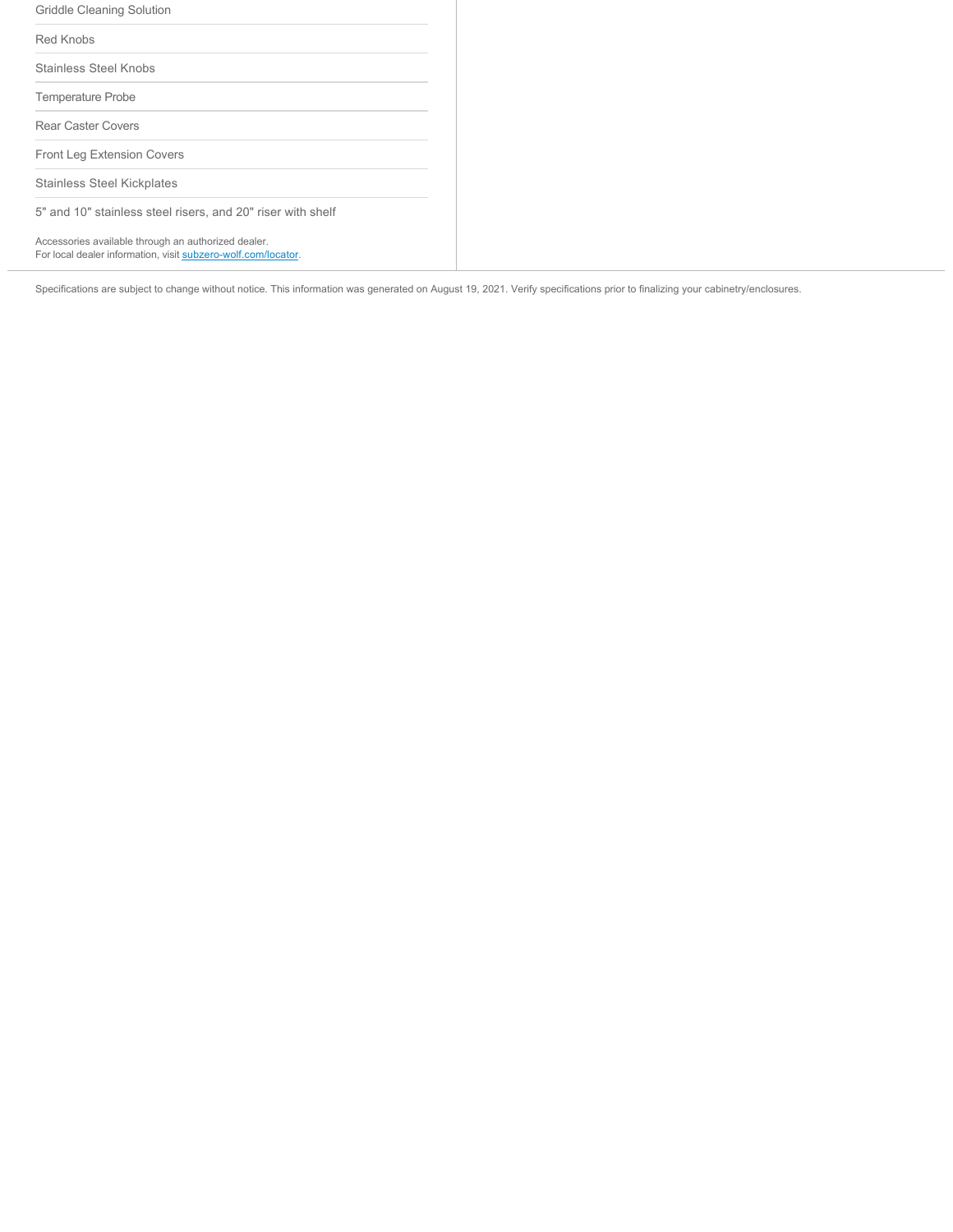| Griddle Cleaning Solution                                                                                            |  |
|----------------------------------------------------------------------------------------------------------------------|--|
| Red Knobs                                                                                                            |  |
| Stainless Steel Knobs                                                                                                |  |
| <b>Temperature Probe</b>                                                                                             |  |
| Rear Caster Covers                                                                                                   |  |
| <b>Front Leg Extension Covers</b>                                                                                    |  |
| Stainless Steel Kickplates                                                                                           |  |
| 5" and 10" stainless steel risers, and 20" riser with shelf                                                          |  |
| Accessories available through an authorized dealer.<br>For local dealer information, visit subzero-wolf.com/locator. |  |

Specifications are subject to change without notice. This information was generated on August 19, 2021. Verify specifications prior to finalizing your cabinetry/enclosures.